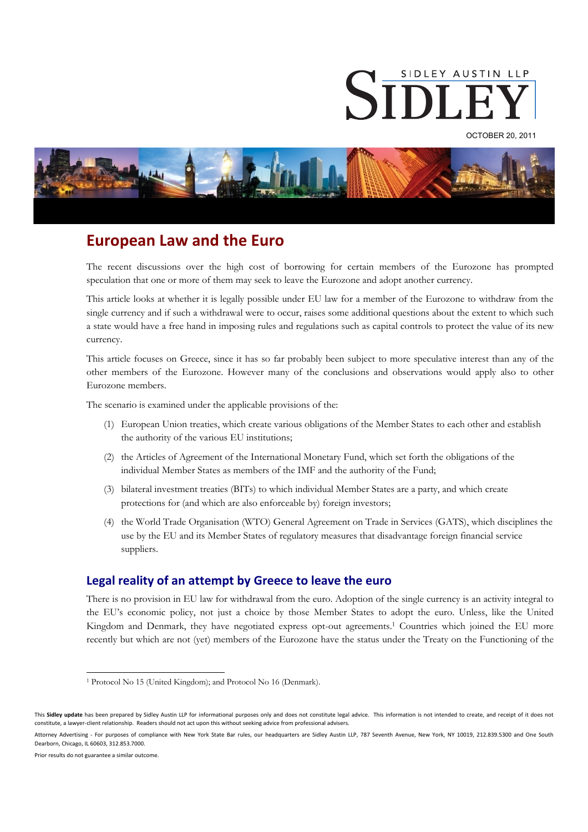

OCTOBER 20, 2011



# **European Law and the Euro**

The recent discussions over the high cost of borrowing for certain members of the Eurozone has prompted speculation that one or more of them may seek to leave the Eurozone and adopt another currency.

This article looks at whether it is legally possible under EU law for a member of the Eurozone to withdraw from the single currency and if such a withdrawal were to occur, raises some additional questions about the extent to which such a state would have a free hand in imposing rules and regulations such as capital controls to protect the value of its new currency.

This article focuses on Greece, since it has so far probably been subject to more speculative interest than any of the other members of the Eurozone. However many of the conclusions and observations would apply also to other Eurozone members.

The scenario is examined under the applicable provisions of the:

- (1) European Union treaties, which create various obligations of the Member States to each other and establish the authority of the various EU institutions;
- (2) the Articles of Agreement of the International Monetary Fund, which set forth the obligations of the individual Member States as members of the IMF and the authority of the Fund;
- (3) bilateral investment treaties (BITs) to which individual Member States are a party, and which create protections for (and which are also enforceable by) foreign investors;
- (4) the World Trade Organisation (WTO) General Agreement on Trade in Services (GATS), which disciplines the use by the EU and its Member States of regulatory measures that disadvantage foreign financial service suppliers.

## **Legal reality of an attempt by Greece to leave the euro**

There is no provision in EU law for withdrawal from the euro. Adoption of the single currency is an activity integral to the EU's economic policy, not just a choice by those Member States to adopt the euro. Unless, like the United Kingdom and Denmark, they have negotiated express opt-out agreements.<sup>1</sup> Countries which joined the EU more recently but which are not (yet) members of the Eurozone have the status under the Treaty on the Functioning of the

Attorney Advertising - For purposes of compliance with New York State Bar rules, our headquarters are Sidley Austin LLP, 787 Seventh Avenue, New York, NY 10019, 212.839.5300 and One South Dearborn, Chicago, IL 60603, 312.853.7000.

Prior results do not guarantee a similar outcome.

 $\overline{a}$ 

<sup>1</sup> Protocol No 15 (United Kingdom); and Protocol No 16 (Denmark).

This **Sidley update** has been prepared by Sidley Austin LLP for informational purposes only and does not constitute legal advice. This information is not intended to create, and receipt of it does not constitute, a lawyer-client relationship. Readers should not act upon this without seeking advice from professional advisers.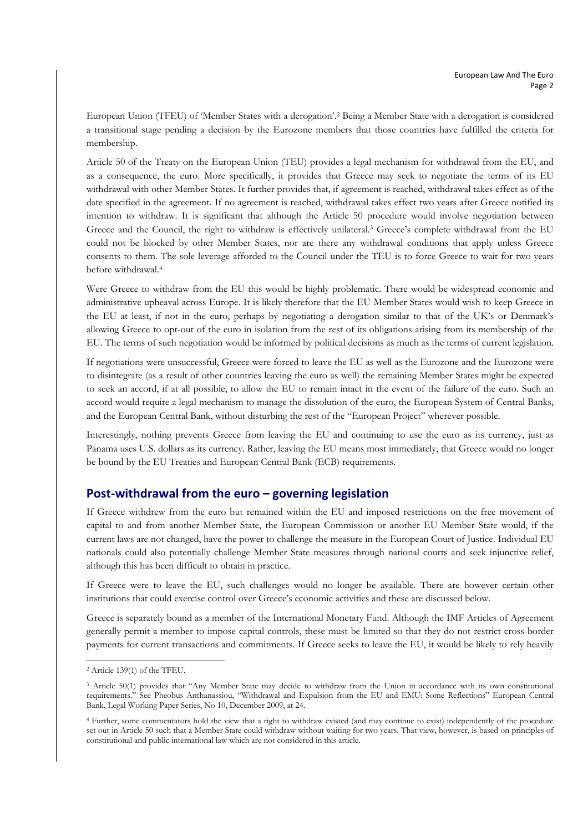European Union (TFEU) of 'Member States with a derogation'.2 Being a Member State with a derogation is considered a transitional stage pending a decision by the Eurozone members that those countries have fulfilled the criteria for membership.

Article 50 of the Treaty on the European Union (TEU) provides a legal mechanism for withdrawal from the EU, and as a consequence, the euro. More specifically, it provides that Greece may seek to negotiate the terms of its EU withdrawal with other Member States. It further provides that, if agreement is reached, withdrawal takes effect as of the date specified in the agreement. If no agreement is reached, withdrawal takes effect two years after Greece notified its intention to withdraw. It is significant that although the Article 50 procedure would involve negotiation between Greece and the Council, the right to withdraw is effectively unilateral.<sup>3</sup> Greece's complete withdrawal from the EU could not be blocked by other Member States, nor are there any withdrawal conditions that apply unless Greece consents to them. The sole leverage afforded to the Council under the TEU is to force Greece to wait for two years before withdrawal.4

Were Greece to withdraw from the EU this would be highly problematic. There would be widespread economic and administrative upheaval across Europe. It is likely therefore that the EU Member States would wish to keep Greece in the EU at least, if not in the euro, perhaps by negotiating a derogation similar to that of the UK's or Denmark's allowing Greece to opt-out of the euro in isolation from the rest of its obligations arising from its membership of the EU. The terms of such negotiation would be informed by political decisions as much as the terms of current legislation.

If negotiations were unsuccessful, Greece were forced to leave the EU as well as the Eurozone and the Eurozone were to disintegrate (as a result of other countries leaving the euro as well) the remaining Member States might be expected to seek an accord, if at all possible, to allow the EU to remain intact in the event of the failure of the euro. Such an accord would require a legal mechanism to manage the dissolution of the euro, the European System of Central Banks, and the European Central Bank, without disturbing the rest of the "European Project" wherever possible.

Interestingly, nothing prevents Greece from leaving the EU and continuing to use the euro as its currency, just as Panama uses U.S. dollars as its currency. Rather, leaving the EU means most immediately, that Greece would no longer be bound by the EU Treaties and European Central Bank (ECB) requirements.

## **Post-withdrawal from the euro – governing legislation**

If Greece withdrew from the euro but remained within the EU and imposed restrictions on the free movement of capital to and from another Member State, the European Commission or another EU Member State would, if the current laws are not changed, have the power to challenge the measure in the European Court of Justice. Individual EU nationals could also potentially challenge Member State measures through national courts and seek injunctive relief, although this has been difficult to obtain in practice.

If Greece were to leave the EU, such challenges would no longer be available. There are however certain other institutions that could exercise control over Greece's economic activities and these are discussed below.

Greece is separately bound as a member of the International Monetary Fund. Although the IMF Articles of Agreement generally permit a member to impose capital controls, these must be limited so that they do not restrict cross-border payments for current transactions and commitments. If Greece seeks to leave the EU, it would be likely to rely heavily

 $\overline{a}$ 2 Article 139(1) of the TFEU.

<sup>&</sup>lt;sup>3</sup> Article 50(1) provides that "Any Member State may decide to withdraw from the Union in accordance with its own constitutional requirements." See Pheobus Anthanassiou, "Withdrawal and Expulsion from the EU and EMU: Some Reflections" European Central Bank, Legal Working Paper Series, No 10, December 2009, at 24.

<sup>4</sup> Further, some commentators hold the view that a right to withdraw existed (and may continue to exist) independently of the procedure set out in Article 50 such that a Member State could withdraw without waiting for two years. That view, however, is based on principles of constitutional and public international law which are not considered in this article.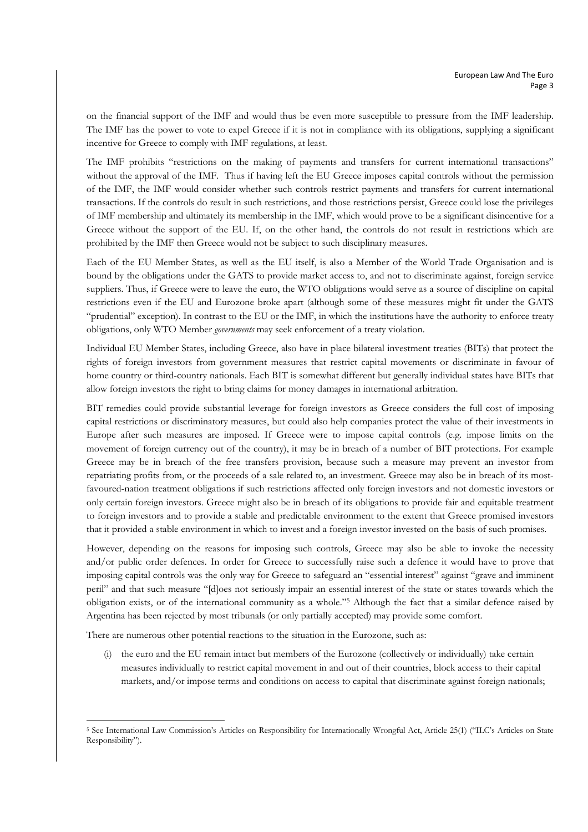on the financial support of the IMF and would thus be even more susceptible to pressure from the IMF leadership. The IMF has the power to vote to expel Greece if it is not in compliance with its obligations, supplying a significant incentive for Greece to comply with IMF regulations, at least.

The IMF prohibits "restrictions on the making of payments and transfers for current international transactions" without the approval of the IMF. Thus if having left the EU Greece imposes capital controls without the permission of the IMF, the IMF would consider whether such controls restrict payments and transfers for current international transactions. If the controls do result in such restrictions, and those restrictions persist, Greece could lose the privileges of IMF membership and ultimately its membership in the IMF, which would prove to be a significant disincentive for a Greece without the support of the EU. If, on the other hand, the controls do not result in restrictions which are prohibited by the IMF then Greece would not be subject to such disciplinary measures.

Each of the EU Member States, as well as the EU itself, is also a Member of the World Trade Organisation and is bound by the obligations under the GATS to provide market access to, and not to discriminate against, foreign service suppliers. Thus, if Greece were to leave the euro, the WTO obligations would serve as a source of discipline on capital restrictions even if the EU and Eurozone broke apart (although some of these measures might fit under the GATS "prudential" exception). In contrast to the EU or the IMF, in which the institutions have the authority to enforce treaty obligations, only WTO Member *governments* may seek enforcement of a treaty violation.

Individual EU Member States, including Greece, also have in place bilateral investment treaties (BITs) that protect the rights of foreign investors from government measures that restrict capital movements or discriminate in favour of home country or third-country nationals. Each BIT is somewhat different but generally individual states have BITs that allow foreign investors the right to bring claims for money damages in international arbitration.

BIT remedies could provide substantial leverage for foreign investors as Greece considers the full cost of imposing capital restrictions or discriminatory measures, but could also help companies protect the value of their investments in Europe after such measures are imposed. If Greece were to impose capital controls (e.g. impose limits on the movement of foreign currency out of the country), it may be in breach of a number of BIT protections. For example Greece may be in breach of the free transfers provision, because such a measure may prevent an investor from repatriating profits from, or the proceeds of a sale related to, an investment. Greece may also be in breach of its mostfavoured-nation treatment obligations if such restrictions affected only foreign investors and not domestic investors or only certain foreign investors. Greece might also be in breach of its obligations to provide fair and equitable treatment to foreign investors and to provide a stable and predictable environment to the extent that Greece promised investors that it provided a stable environment in which to invest and a foreign investor invested on the basis of such promises.

However, depending on the reasons for imposing such controls, Greece may also be able to invoke the necessity and/or public order defences. In order for Greece to successfully raise such a defence it would have to prove that imposing capital controls was the only way for Greece to safeguard an "essential interest" against "grave and imminent peril" and that such measure "[d]oes not seriously impair an essential interest of the state or states towards which the obligation exists, or of the international community as a whole."5 Although the fact that a similar defence raised by Argentina has been rejected by most tribunals (or only partially accepted) may provide some comfort.

There are numerous other potential reactions to the situation in the Eurozone, such as:

 $\overline{a}$ 

(i) the euro and the EU remain intact but members of the Eurozone (collectively or individually) take certain measures individually to restrict capital movement in and out of their countries, block access to their capital markets, and/or impose terms and conditions on access to capital that discriminate against foreign nationals;

<sup>5</sup> See International Law Commission's Articles on Responsibility for Internationally Wrongful Act, Article 25(1) ("ILC's Articles on State Responsibility").